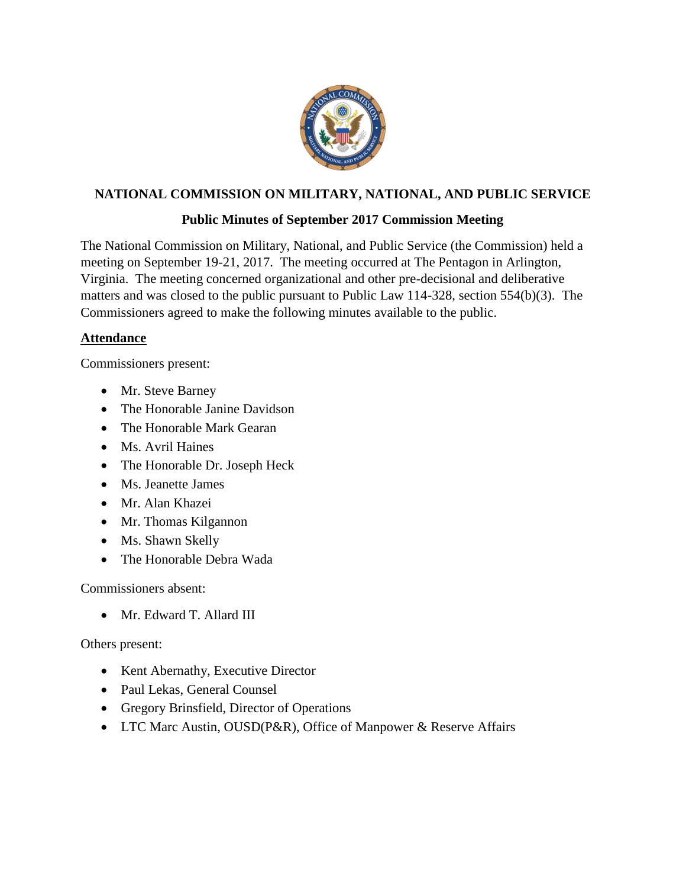

# **NATIONAL COMMISSION ON MILITARY, NATIONAL, AND PUBLIC SERVICE**

## **Public Minutes of September 2017 Commission Meeting**

The National Commission on Military, National, and Public Service (the Commission) held a meeting on September 19-21, 2017. The meeting occurred at The Pentagon in Arlington, Virginia. The meeting concerned organizational and other pre-decisional and deliberative matters and was closed to the public pursuant to Public Law 114-328, section 554(b)(3). The Commissioners agreed to make the following minutes available to the public.

## **Attendance**

Commissioners present:

- Mr. Steve Barney
- The Honorable Janine Davidson
- The Honorable Mark Gearan
- Ms. Avril Haines
- The Honorable Dr. Joseph Heck
- Ms. Jeanette James
- Mr. Alan Khazei
- Mr. Thomas Kilgannon
- Ms. Shawn Skelly
- The Honorable Debra Wada

Commissioners absent:

• Mr. Edward T. Allard III

Others present:

- Kent Abernathy, Executive Director
- Paul Lekas, General Counsel
- Gregory Brinsfield, Director of Operations
- LTC Marc Austin, OUSD(P&R), Office of Manpower & Reserve Affairs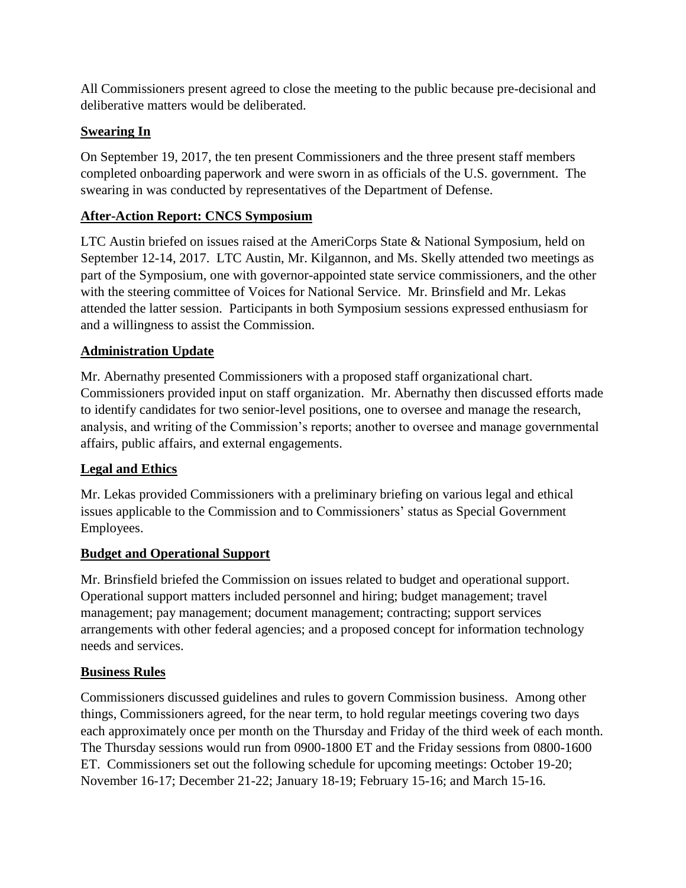All Commissioners present agreed to close the meeting to the public because pre-decisional and deliberative matters would be deliberated.

# **Swearing In**

On September 19, 2017, the ten present Commissioners and the three present staff members completed onboarding paperwork and were sworn in as officials of the U.S. government. The swearing in was conducted by representatives of the Department of Defense.

# **After-Action Report: CNCS Symposium**

LTC Austin briefed on issues raised at the AmeriCorps State & National Symposium, held on September 12-14, 2017. LTC Austin, Mr. Kilgannon, and Ms. Skelly attended two meetings as part of the Symposium, one with governor-appointed state service commissioners, and the other with the steering committee of Voices for National Service. Mr. Brinsfield and Mr. Lekas attended the latter session. Participants in both Symposium sessions expressed enthusiasm for and a willingness to assist the Commission.

### **Administration Update**

Mr. Abernathy presented Commissioners with a proposed staff organizational chart. Commissioners provided input on staff organization. Mr. Abernathy then discussed efforts made to identify candidates for two senior-level positions, one to oversee and manage the research, analysis, and writing of the Commission's reports; another to oversee and manage governmental affairs, public affairs, and external engagements.

### **Legal and Ethics**

Mr. Lekas provided Commissioners with a preliminary briefing on various legal and ethical issues applicable to the Commission and to Commissioners' status as Special Government Employees.

### **Budget and Operational Support**

Mr. Brinsfield briefed the Commission on issues related to budget and operational support. Operational support matters included personnel and hiring; budget management; travel management; pay management; document management; contracting; support services arrangements with other federal agencies; and a proposed concept for information technology needs and services.

# **Business Rules**

Commissioners discussed guidelines and rules to govern Commission business. Among other things, Commissioners agreed, for the near term, to hold regular meetings covering two days each approximately once per month on the Thursday and Friday of the third week of each month. The Thursday sessions would run from 0900-1800 ET and the Friday sessions from 0800-1600 ET. Commissioners set out the following schedule for upcoming meetings: October 19-20; November 16-17; December 21-22; January 18-19; February 15-16; and March 15-16.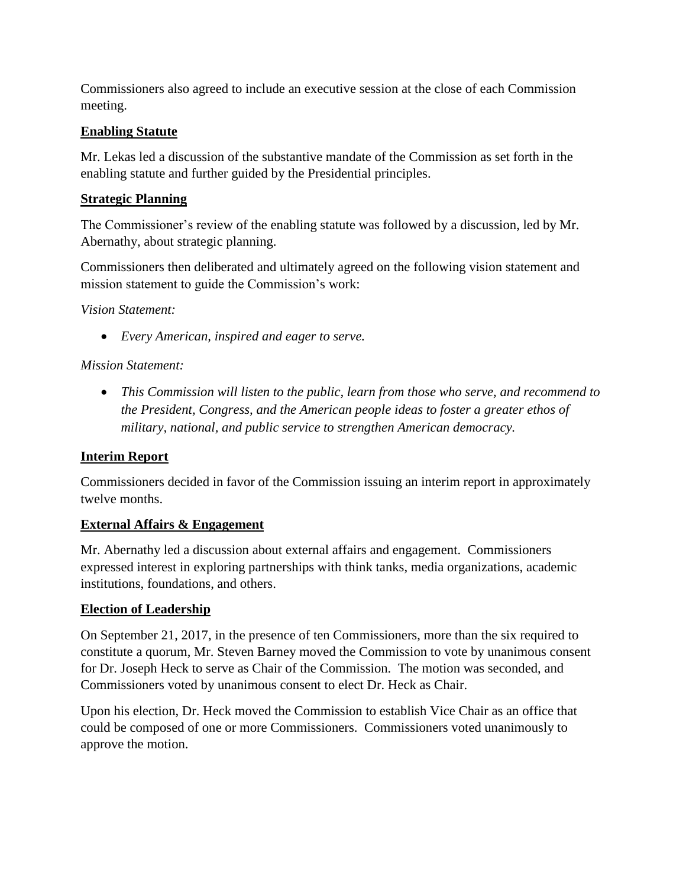Commissioners also agreed to include an executive session at the close of each Commission meeting.

## **Enabling Statute**

Mr. Lekas led a discussion of the substantive mandate of the Commission as set forth in the enabling statute and further guided by the Presidential principles.

## **Strategic Planning**

The Commissioner's review of the enabling statute was followed by a discussion, led by Mr. Abernathy, about strategic planning.

Commissioners then deliberated and ultimately agreed on the following vision statement and mission statement to guide the Commission's work:

*Vision Statement:*

• *Every American, inspired and eager to serve.*

## *Mission Statement:*

• *This Commission will listen to the public, learn from those who serve, and recommend to the President, Congress, and the American people ideas to foster a greater ethos of military, national, and public service to strengthen American democracy.*

# **Interim Report**

Commissioners decided in favor of the Commission issuing an interim report in approximately twelve months.

### **External Affairs & Engagement**

Mr. Abernathy led a discussion about external affairs and engagement. Commissioners expressed interest in exploring partnerships with think tanks, media organizations, academic institutions, foundations, and others.

# **Election of Leadership**

On September 21, 2017, in the presence of ten Commissioners, more than the six required to constitute a quorum, Mr. Steven Barney moved the Commission to vote by unanimous consent for Dr. Joseph Heck to serve as Chair of the Commission. The motion was seconded, and Commissioners voted by unanimous consent to elect Dr. Heck as Chair.

Upon his election, Dr. Heck moved the Commission to establish Vice Chair as an office that could be composed of one or more Commissioners. Commissioners voted unanimously to approve the motion.